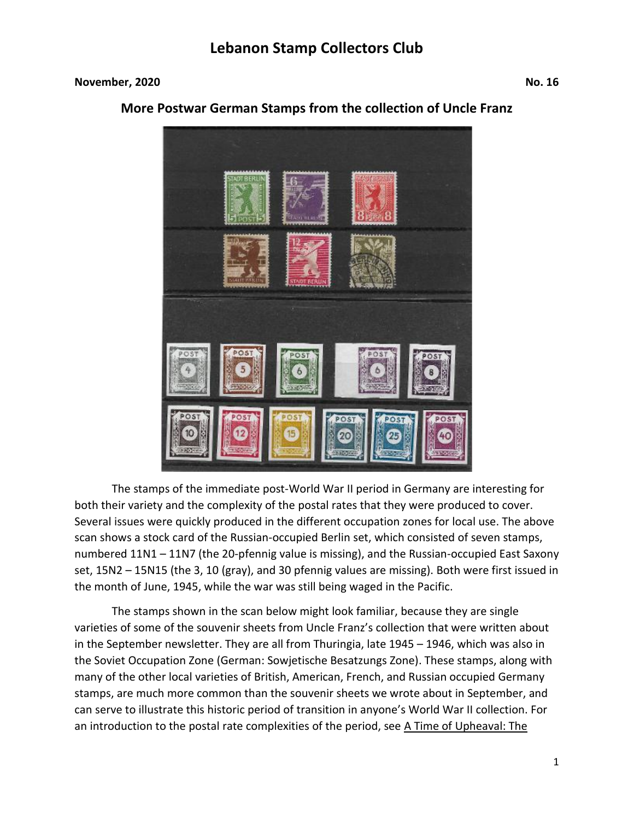#### **November, 2020** No. 16



#### **More Postwar German Stamps from the collection of Uncle Franz**

The stamps of the immediate post-World War II period in Germany are interesting for both their variety and the complexity of the postal rates that they were produced to cover. Several issues were quickly produced in the different occupation zones for local use. The above scan shows a stock card of the Russian-occupied Berlin set, which consisted of seven stamps, numbered 11N1 – 11N7 (the 20-pfennig value is missing), and the Russian-occupied East Saxony set, 15N2 – 15N15 (the 3, 10 (gray), and 30 pfennig values are missing). Both were first issued in the month of June, 1945, while the war was still being waged in the Pacific.

The stamps shown in the scan below might look familiar, because they are single varieties of some of the souvenir sheets from Uncle Franz's collection that were written about in the September newsletter. They are all from Thuringia, late 1945 – 1946, which was also in the Soviet Occupation Zone (German: Sowjetische Besatzungs Zone). These stamps, along with many of the other local varieties of British, American, French, and Russian occupied Germany stamps, are much more common than the souvenir sheets we wrote about in September, and can serve to illustrate this historic period of transition in anyone's World War II collection. For an introduction to the postal rate complexities of the period, see A Time of Upheaval: The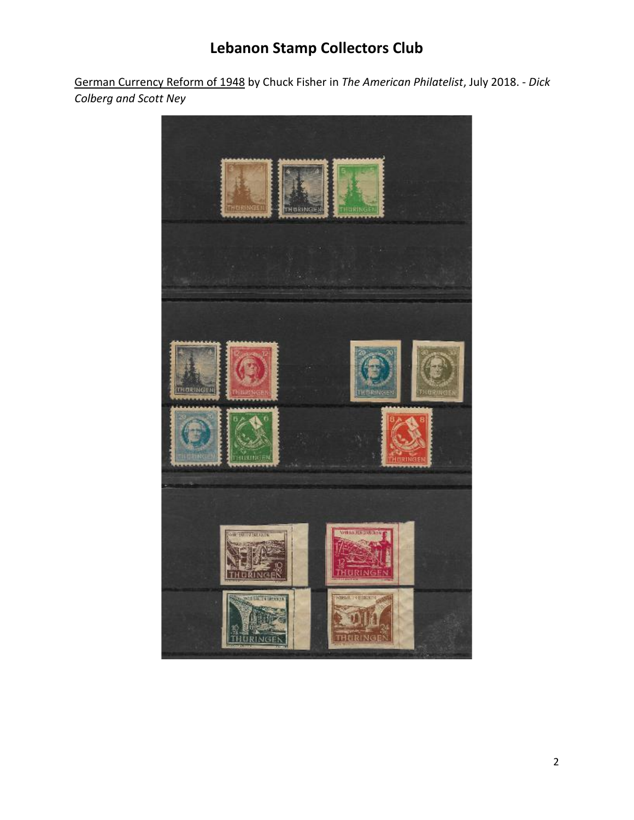German Currency Reform of 1948 by Chuck Fisher in *The American Philatelist*, July 2018. - *Dick Colberg and Scott Ney*

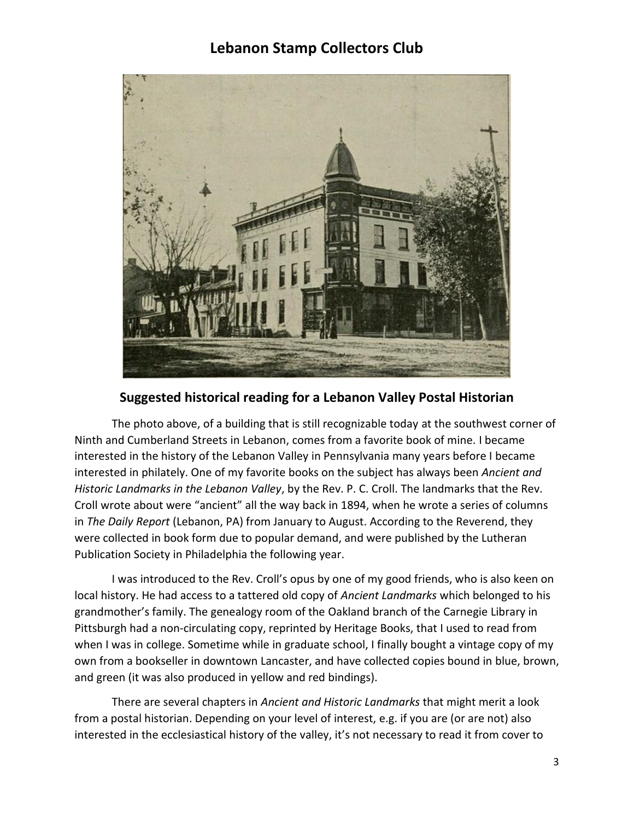

#### **Suggested historical reading for a Lebanon Valley Postal Historian**

The photo above, of a building that is still recognizable today at the southwest corner of Ninth and Cumberland Streets in Lebanon, comes from a favorite book of mine. I became interested in the history of the Lebanon Valley in Pennsylvania many years before I became interested in philately. One of my favorite books on the subject has always been *Ancient and Historic Landmarks in the Lebanon Valley*, by the Rev. P. C. Croll. The landmarks that the Rev. Croll wrote about were "ancient" all the way back in 1894, when he wrote a series of columns in *The Daily Report* (Lebanon, PA) from January to August. According to the Reverend, they were collected in book form due to popular demand, and were published by the Lutheran Publication Society in Philadelphia the following year.

I was introduced to the Rev. Croll's opus by one of my good friends, who is also keen on local history. He had access to a tattered old copy of *Ancient Landmarks* which belonged to his grandmother's family. The genealogy room of the Oakland branch of the Carnegie Library in Pittsburgh had a non-circulating copy, reprinted by Heritage Books, that I used to read from when I was in college. Sometime while in graduate school, I finally bought a vintage copy of my own from a bookseller in downtown Lancaster, and have collected copies bound in blue, brown, and green (it was also produced in yellow and red bindings).

There are several chapters in *Ancient and Historic Landmarks* that might merit a look from a postal historian. Depending on your level of interest, e.g. if you are (or are not) also interested in the ecclesiastical history of the valley, it's not necessary to read it from cover to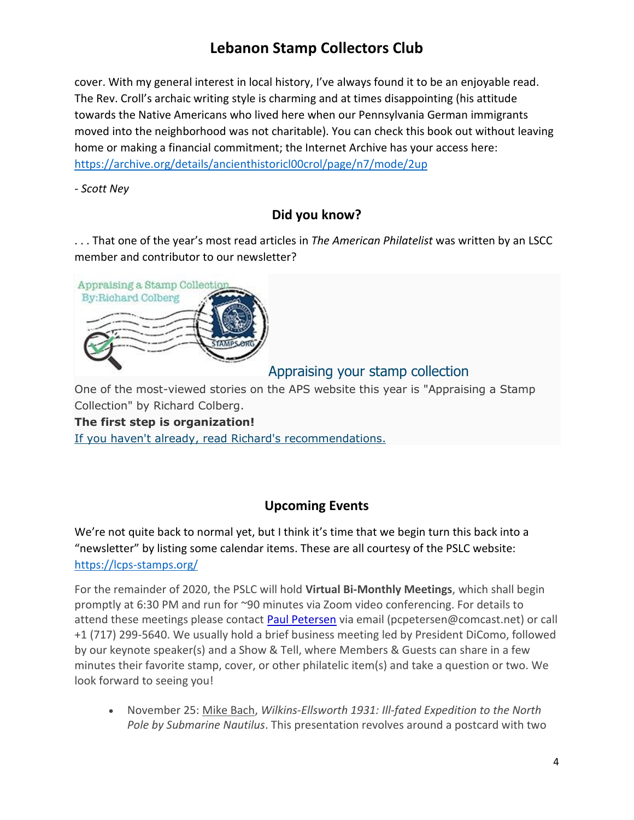cover. With my general interest in local history, I've always found it to be an enjoyable read. The Rev. Croll's archaic writing style is charming and at times disappointing (his attitude towards the Native Americans who lived here when our Pennsylvania German immigrants moved into the neighborhood was not charitable). You can check this book out without leaving home or making a financial commitment; the Internet Archive has your access here: <https://archive.org/details/ancienthistoricl00crol/page/n7/mode/2up>

*- Scott Ney*

### **Did you know?**

. . . That one of the year's most read articles in *The American Philatelist* was written by an LSCC member and contributor to our newsletter?



### Appraising your stamp collection

One of the most-viewed stories on the APS website this year is "Appraising a Stamp Collection" by Richard Colberg.

#### **The first step is organization!**

[If you haven't already, read Richard's recommendations.](http://aps.informz.net/z/cjUucD9taT05NjUxMzU1JnA9MSZ1PTEwOTQzNTc3MDUmbGk9ODEzNzIyMTA/index.html)

### **Upcoming Events**

We're not quite back to normal yet, but I think it's time that we begin turn this back into a "newsletter" by listing some calendar items. These are all courtesy of the PSLC website: <https://lcps-stamps.org/>

For the remainder of 2020, the PSLC will hold **Virtual Bi-Monthly Meetings**, which shall begin promptly at 6:30 PM and run for ~90 minutes via Zoom video conferencing. For details to attend these meetings please contact **[Paul Petersen](mailto:pcpetersen@comcast.net)** via email (pcpetersen@comcast.net) or call +1 (717) 299-5640. We usually hold a brief business meeting led by President DiComo, followed by our keynote speaker(s) and a Show & Tell, where Members & Guests can share in a few minutes their favorite stamp, cover, or other philatelic item(s) and take a question or two. We look forward to seeing you!

• November 25: Mike Bach, *Wilkins-Ellsworth 1931: Ill-fated Expedition to the North Pole by Submarine Nautilus*. This presentation revolves around a postcard with two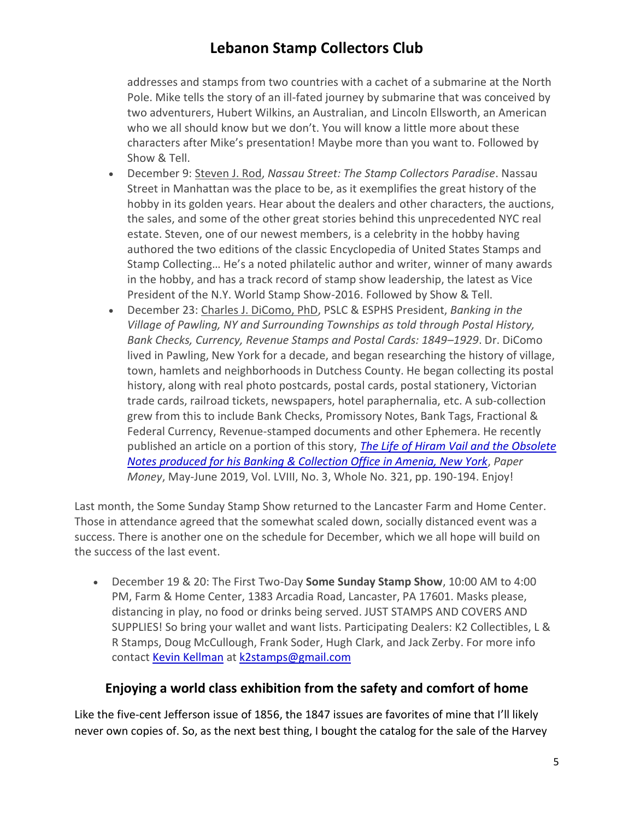addresses and stamps from two countries with a cachet of a submarine at the North Pole. Mike tells the story of an ill-fated journey by submarine that was conceived by two adventurers, Hubert Wilkins, an Australian, and Lincoln Ellsworth, an American who we all should know but we don't. You will know a little more about these characters after Mike's presentation! Maybe more than you want to. Followed by Show & Tell.

- December 9: Steven J. Rod, *Nassau Street: The Stamp Collectors Paradise*. Nassau Street in Manhattan was the place to be, as it exemplifies the great history of the hobby in its golden years. Hear about the dealers and other characters, the auctions, the sales, and some of the other great stories behind this unprecedented NYC real estate. Steven, one of our newest members, is a celebrity in the hobby having authored the two editions of the classic Encyclopedia of United States Stamps and Stamp Collecting… He's a noted philatelic author and writer, winner of many awards in the hobby, and has a track record of stamp show leadership, the latest as Vice President of the N.Y. World Stamp Show-2016. Followed by Show & Tell.
- December 23: Charles J. DiComo, PhD, PSLC & ESPHS President, *Banking in the Village of Pawling, NY and Surrounding Townships as told through Postal History, Bank Checks, Currency, Revenue Stamps and Postal Cards: 1849–1929*. Dr. DiComo lived in Pawling, New York for a decade, and began researching the history of village, town, hamlets and neighborhoods in Dutchess County. He began collecting its postal history, along with real photo postcards, postal cards, postal stationery, Victorian trade cards, railroad tickets, newspapers, hotel paraphernalia, etc. A sub-collection grew from this to include Bank Checks, Promissory Notes, Bank Tags, Fractional & Federal Currency, Revenue-stamped documents and other Ephemera. He recently published an article on a portion of this story, *[The Life of Hiram Vail and the Obsolete](http://lcps-stamps.org/wp-content/uploads/2019/06/Paper-Money-MayJune19-DICOMO-p1-8.pdf)  [Notes produced for his Banking & Collection Office in Amenia, New York](http://lcps-stamps.org/wp-content/uploads/2019/06/Paper-Money-MayJune19-DICOMO-p1-8.pdf)*, *Paper Money*, May-June 2019, Vol. LVIII, No. 3, Whole No. 321, pp. 190-194. Enjoy!

Last month, the Some Sunday Stamp Show returned to the Lancaster Farm and Home Center. Those in attendance agreed that the somewhat scaled down, socially distanced event was a success. There is another one on the schedule for December, which we all hope will build on the success of the last event.

• December 19 & 20: The First Two-Day **Some Sunday Stamp Show**, 10:00 AM to 4:00 PM, Farm & Home Center, 1383 Arcadia Road, Lancaster, PA 17601. Masks please, distancing in play, no food or drinks being served. JUST STAMPS AND COVERS AND SUPPLIES! So bring your wallet and want lists. Participating Dealers: K2 Collectibles, L & R Stamps, Doug McCullough, Frank Soder, Hugh Clark, and Jack Zerby. For more info contact [Kevin Kellman](mailto:k2stamps@gmail.com) at [k2stamps@gmail.com](mailto:k2stamps@gmail.com)

### **Enjoying a world class exhibition from the safety and comfort of home**

Like the five-cent Jefferson issue of 1856, the 1847 issues are favorites of mine that I'll likely never own copies of. So, as the next best thing, I bought the catalog for the sale of the Harvey